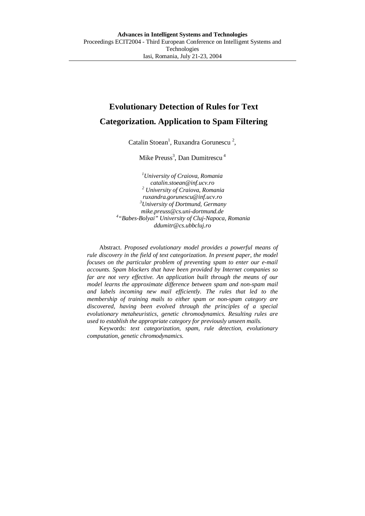# **Evolutionary Detection of Rules for Text Categorization. Application to Spam Filtering**

Catalin Stoean<sup>1</sup>, Ruxandra Gorunescu<sup>2</sup>,

Mike Preuss<sup>3</sup>, Dan Dumitrescu<sup>4</sup>

*1 University of Craiova, Romania catalin.stoean@inf.ucv.ro <sup>2</sup> University of Craiova, Romania ruxandra.gorunescu@inf.ucv.ro 3 University of Dortmund, Germany mike.preuss@cs.uni-dortmund.de <sup>4</sup> "Babes-Bolyai" University of Cluj-Napoca, Romania ddumitr@cs.ubbcluj.ro* 

Abstract. *Proposed evolutionary model provides a powerful means of rule discovery in the field of text categorization. In present paper, the model focuses on the particular problem of preventing spam to enter our e-mail accounts. Spam blockers that have been provided by Internet companies so*  far are not very effective. An application built through the means of our *model learns the approximate difference between spam and non-spam mail*  and labels incoming new mail efficiently. The rules that led to the *membership of training mails to either spam or non-spam category are discovered, having been evolved through the principles of a special evolutionary metaheuristics, genetic chromodynamics. Resulting rules are used to establish the appropriate category for previously unseen mails.*

Keywords: *text categorization, spam, rule detection, evolutionary computation, genetic chromodynamics.*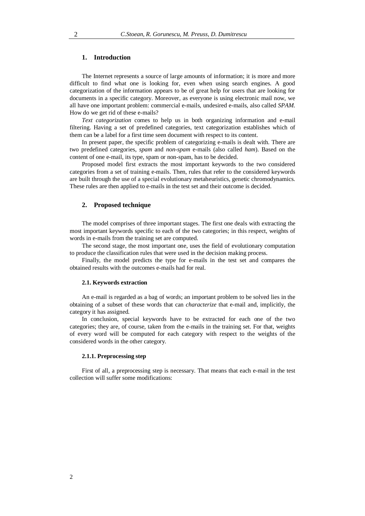## **1. Introduction**

The Internet represents a source of large amounts of information; it is more and more difficult to find what one is looking for, even when using search engines. A good categorization of the information appears to be of great help for users that are looking for documents in a specific category. Moreover, as everyone is using electronic mail now, we all have one important problem: commercial e-mails, undesired e-mails, also called *SPAM*. How do we get rid of these e-mails?

*Text categorization* comes to help us in both organizing information and e-mail filtering. Having a set of predefined categories, text categorization establishes which of them can be a label for a first time seen document with respect to its content.

In present paper, the specific problem of categorizing e-mails is dealt with. There are two predefined categories, *spam* and *non-spam* e-mails (also called *ham*). Based on the content of one e-mail, its type, spam or non-spam, has to be decided.

Proposed model first extracts the most important keywords to the two considered categories from a set of training e-mails. Then, rules that refer to the considered keywords are built through the use of a special evolutionary metaheuristics, genetic chromodynamics. These rules are then applied to e-mails in the test set and their outcome is decided.

## **2. Proposed technique**

The model comprises of three important stages. The first one deals with extracting the most important keywords specific to each of the two categories; in this respect, weights of words in e-mails from the training set are computed.

The second stage, the most important one, uses the field of evolutionary computation to produce the classification rules that were used in the decision making process.

Finally, the model predicts the type for e-mails in the test set and compares the obtained results with the outcomes e-mails had for real.

#### **2.1. Keywords extraction**

An e-mail is regarded as a bag of words; an important problem to be solved lies in the obtaining of a subset of these words that can *characterize* that e-mail and, implicitly, the category it has assigned.

In conclusion, special keywords have to be extracted for each one of the two categories; they are, of course, taken from the e-mails in the training set. For that, weights of every word will be computed for each category with respect to the weights of the considered words in the other category.

#### **2.1.1. Preprocessing step**

First of all, a preprocessing step is necessary. That means that each e-mail in the test collection will suffer some modifications: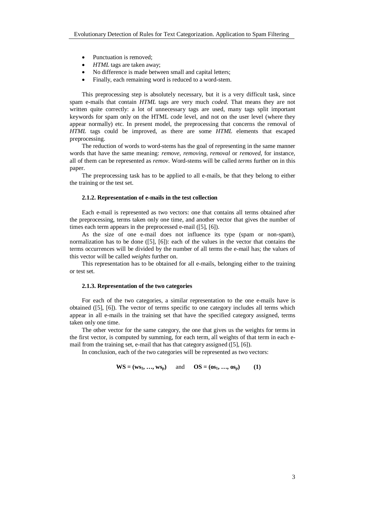- Punctuation is removed;
- *HTML* tags are taken away:
- No difference is made between small and capital letters;
- Finally, each remaining word is reduced to a word-stem.

This preprocessing step is absolutely necessary, but it is a very difficult task, since spam e-mails that contain *HTML* tags are very much *coded*. That means they are not written quite correctly: a lot of unnecessary tags are used, many tags split important keywords for spam only on the HTML code level, and not on the user level (where they appear normally) etc. In present model, the preprocessing that concerns the removal of *HTML* tags could be improved, as there are some *HTML* elements that escaped preprocessing.

The reduction of words to word-stems has the goal of representing in the same manner words that have the same meaning: *remove*, *removing*, *removal* or *removed*, for instance, all of them can be represented as *remov*. Word-stems will be called *terms* further on in this paper.

The preprocessing task has to be applied to all e-mails, be that they belong to either the training or the test set.

## **2.1.2. Representation of e-mails in the test collection**

Each e-mail is represented as two vectors: one that contains all terms obtained after the preprocessing, terms taken only one time, and another vector that gives the number of times each term appears in the preprocessed e-mail ([5], [6]).

As the size of one e-mail does not influence its type (spam or non-spam), normalization has to be done ([5], [6]): each of the values in the vector that contains the terms occurrences will be divided by the number of all terms the e-mail has; the values of this vector will be called *weights* further on.

This representation has to be obtained for all e-mails, belonging either to the training or test set.

## **2.1.3. Representation of the two categories**

For each of the two categories, a similar representation to the one e-mails have is obtained ([5], [6]). The vector of terms specific to one category includes all terms which appear in all e-mails in the training set that have the specified category assigned, terms taken only one time.

The other vector for the same category, the one that gives us the weights for terms in the first vector, is computed by summing, for each term, all weights of that term in each email from the training set, e-mail that has that category assigned ([5], [6]).

In conclusion, each of the two categories will be represented as two vectors:

$$
WS = (ws_1, ..., ws_p)
$$
 and  $OS = (os_1, ..., os_p)$  (1)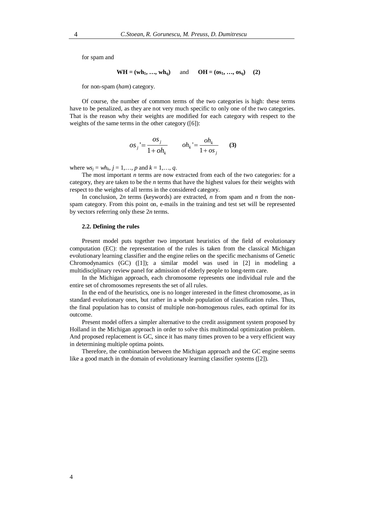for spam and

$$
WH = (wh_1, ..., wh_q)
$$
 and  $OH = (os_1, ..., os_q)$  (2)

for non-spam (*ham*) category.

Of course, the number of common terms of the two categories is high: these terms have to be penalized, as they are not very much specific to only one of the two categories. That is the reason why their weights are modified for each category with respect to the weights of the same terms in the other category ([6]):

$$
os_j = \frac{os_j}{1 + oh_k}
$$
  $oh_k = \frac{oh_k}{1 + os_j}$  (3)

where  $ws_j = wh_k$ ,  $j = 1, ..., p$  and  $k = 1, ..., q$ .

The most important *n* terms are now extracted from each of the two categories: for a category, they are taken to be the *n* terms that have the highest values for their weights with respect to the weights of all terms in the considered category.

In conclusion,  $2n$  terms (keywords) are extracted, *n* from spam and *n* from the nonspam category. From this point on, e-mails in the training and test set will be represented by vectors referring only these 2*n* terms.

#### **2.2. Defining the rules**

Present model puts together two important heuristics of the field of evolutionary computation (EC): the representation of the rules is taken from the classical Michigan evolutionary learning classifier and the engine relies on the specific mechanisms of Genetic Chromodynamics (GC) ([1]); a similar model was used in [2] in modeling a multidisciplinary review panel for admission of elderly people to long-term care.

In the Michigan approach, each chromosome represents one individual rule and the entire set of chromosomes represents the set of all rules.

In the end of the heuristics, one is no longer interested in the fittest chromosome, as in standard evolutionary ones, but rather in a whole population of classification rules. Thus, the final population has to consist of multiple non-homogenous rules, each optimal for its outcome.

Present model offers a simpler alternative to the credit assignment system proposed by Holland in the Michigan approach in order to solve this multimodal optimization problem. And proposed replacement is GC, since it has many times proven to be a very efficient way in determining multiple optima points.

Therefore, the combination between the Michigan approach and the GC engine seems like a good match in the domain of evolutionary learning classifier systems ([2]).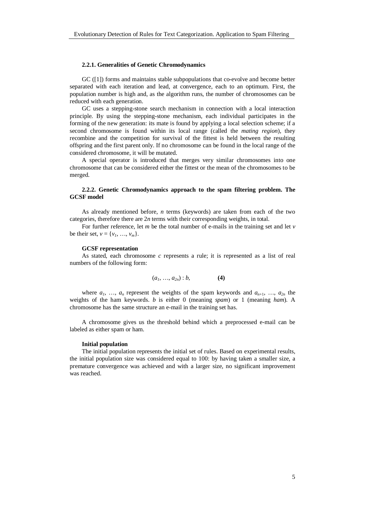#### **2.2.1. Generalities of Genetic Chromodynamics**

GC ([1]) forms and maintains stable subpopulations that co-evolve and become better separated with each iteration and lead, at convergence, each to an optimum. First, the population number is high and, as the algorithm runs, the number of chromosomes can be reduced with each generation.

GC uses a stepping-stone search mechanism in connection with a local interaction principle. By using the stepping-stone mechanism, each individual participates in the forming of the new generation: its mate is found by applying a local selection scheme; if a second chromosome is found within its local range (called the *mating region*), they recombine and the competition for survival of the fittest is held between the resulting offspring and the first parent only. If no chromosome can be found in the local range of the considered chromosome, it will be mutated.

A special operator is introduced that merges very similar chromosomes into one chromosome that can be considered either the fittest or the mean of the chromosomes to be merged.

## **2.2.2. Genetic Chromodynamics approach to the spam filtering problem. The GCSF model**

As already mentioned before, *n* terms (keywords) are taken from each of the two categories, therefore there are 2*n* terms with their corresponding weights, in total.

For further reference, let *m* be the total number of e-mails in the training set and let *v* be their set,  $v = \{v_1, ..., v_m\}$ .

#### **GCSF representation**

As stated, each chromosome *c* represents a rule; it is represented as a list of real numbers of the following form:

$$
(a_1, ..., a_{2n}) : b,
$$
 (4)

where  $a_1$ , ...,  $a_n$  represent the weights of the spam keywords and  $a_{n+1}$ , ...,  $a_{2n}$  the weights of the ham keywords. *b* is either 0 (meaning *spam*) or 1 (meaning *ham*). A chromosome has the same structure an e-mail in the training set has.

A chromosome gives us the threshold behind which a preprocessed e-mail can be labeled as either spam or ham.

## **Initial population**

The initial population represents the initial set of rules. Based on experimental results, the initial population size was considered equal to 100: by having taken a smaller size, a premature convergence was achieved and with a larger size, no significant improvement was reached.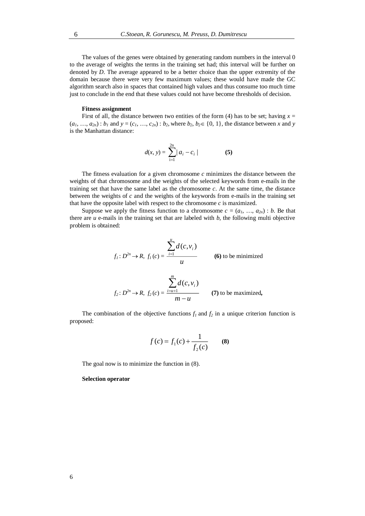The values of the genes were obtained by generating random numbers in the interval 0 to the average of weights the terms in the training set had; this interval will be further on denoted by *D*. The average appeared to be a better choice than the upper extremity of the domain because there were very few maximum values; these would have made the GC algorithm search also in spaces that contained high values and thus consume too much time just to conclude in the end that these values could not have become thresholds of decision.

## **Fitness assignment**

First of all, the distance between two entities of the form (4) has to be set; having  $x =$  $(a_1, ..., a_{2n})$ : *b<sub>1</sub>* and  $y = (c_1, ..., c_{2n})$ : *b<sub>2</sub>*, where *b<sub>2</sub>*, *b<sub>2</sub>*  $\in \{0, 1\}$ , the distance between *x* and *y* is the Manhattan distance:

$$
d(x, y) = \sum_{i=1}^{2n} |a_i - c_i|
$$
 (5)

The fitness evaluation for a given chromosome *c* minimizes the distance between the weights of that chromosome and the weights of the selected keywords from e-mails in the training set that have the same label as the chromosome *c*. At the same time, the distance between the weights of  $c$  and the weights of the keywords from  $e$ -mails in the training set that have the opposite label with respect to the chromosome  $c$  is maximized.

Suppose we apply the fitness function to a chromosome  $c = (a_1, \ldots, a_{2n}) : b$ . Be that there are  $u$  e-mails in the training set that are labeled with  $b$ , the following multi objective problem is obtained:

$$
f_i: D^{2n} \to R, f_i(c) = \frac{\sum_{i=1}^{u} d(c, v_i)}{u}
$$
 (6) to be minimized  

$$
\sum_{i=1}^{m} d(c, v_i)
$$

$$
f_2: D^{2n} \to R, f_2(c) = \frac{\sum_{i=u+1} d(c, v_i)}{m-u}
$$
 (7) to be maximized,

The combination of the objective functions  $f_1$  and  $f_2$  in a unique criterion function is proposed:

$$
f(c) = f_1(c) + \frac{1}{f_2(c)}
$$
 (8)

The goal now is to minimize the function in (8).

## **Selection operator**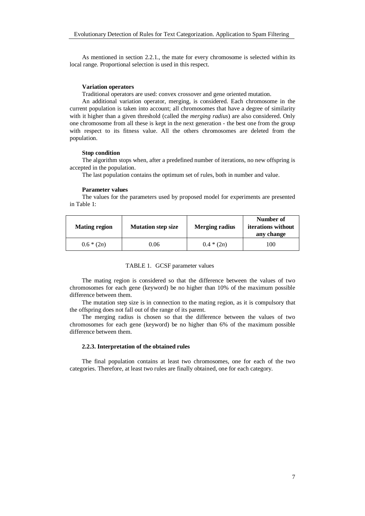As mentioned in section 2.2.1., the mate for every chromosome is selected within its local range. Proportional selection is used in this respect.

## **Variation operators**

Traditional operators are used: convex crossover and gene oriented mutation.

An additional variation operator, merging, is considered. Each chromosome in the current population is taken into account; all chromosomes that have a degree of similarity with it higher than a given threshold (called the *merging radius*) are also considered. Only one chromosome from all these is kept in the next generation - the best one from the group with respect to its fitness value. All the others chromosomes are deleted from the population.

## **Stop condition**

The algorithm stops when, after a predefined number of iterations, no new offspring is accepted in the population.

The last population contains the optimum set of rules, both in number and value.

## **Parameter values**

The values for the parameters used by proposed model for experiments are presented in Table 1:

| <b>Mating region</b> | <b>Mutation step size</b> | <b>Merging radius</b> | Number of<br><i>iterations</i> without<br>any change |
|----------------------|---------------------------|-----------------------|------------------------------------------------------|
| $0.6 * (2n)$         | 0.06                      | $0.4*(2n)$            | 100                                                  |

The mating region is considered so that the difference between the values of two chromosomes for each gene (keyword) be no higher than 10% of the maximum possible difference between them.

The mutation step size is in connection to the mating region, as it is compulsory that the offspring does not fall out of the range of its parent.

The merging radius is chosen so that the difference between the values of two chromosomes for each gene (keyword) be no higher than 6% of the maximum possible difference between them.

## **2.2.3. Interpretation of the obtained rules**

The final population contains at least two chromosomes, one for each of the two categories. Therefore, at least two rules are finally obtained, one for each category.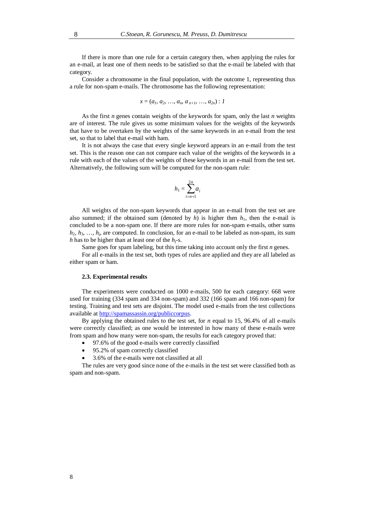If there is more than one rule for a certain category then, when applying the rules for an e-mail, at least one of them needs to be satisfied so that the e-mail be labeled with that category.

Consider a chromosome in the final population, with the outcome 1, representing thus a rule for non-spam e-mails. The chromosome has the following representation:

$$
x=(a_1, a_2, ..., a_n, a_{n+1}, ..., a_{2n}): 1
$$

As the first *n* genes contain weights of the keywords for spam, only the last *n* weights are of interest. The rule gives us some minimum values for the weights of the keywords that have to be overtaken by the weights of the same keywords in an e-mail from the test set, so that to label that e-mail with ham.

It is not always the case that every single keyword appears in an e-mail from the test set. This is the reason one can not compare each value of the weights of the keywords in a rule with each of the values of the weights of these keywords in an e-mail from the test set. Alternatively, the following sum will be computed for the non-spam rule:

$$
h_1 = \sum_{i=n+1}^{2n} a_i
$$

All weights of the non-spam keywords that appear in an e-mail from the test set are also summed; if the obtained sum (denoted by  $h$ ) is higher then  $h_1$ , then the e-mail is concluded to be a non-spam one. If there are more rules for non-spam e-mails, other sums  $h_2, h_3, \ldots, h_i$ , are computed. In conclusion, for an e-mail to be labeled as non-spam, its sum *h* has to be higher than at least one of the  $h_i$ -s.

Same goes for spam labeling, but this time taking into account only the first *n* genes. For all e-mails in the test set, both types of rules are applied and they are all labeled as either spam or ham.

#### **2.3. Experimental results**

The experiments were conducted on 1000 e-mails, 500 for each category: 668 were used for training (334 spam and 334 non-spam) and 332 (166 spam and 166 non-spam) for testing. Training and test sets are disjoint. The model used e-mails from the test collections available at http://spamassassin.org/publiccorpus.

By applying the obtained rules to the test set, for *n* equal to 15, 96.4% of all e-mails were correctly classified; as one would be interested in how many of these e-mails were from spam and how many were non-spam, the results for each category proved that:

- 97.6% of the good e-mails were correctly classified
- 95.2% of spam correctly classified
- 3.6% of the e-mails were not classified at all

The rules are very good since none of the e-mails in the test set were classified both as spam and non-spam.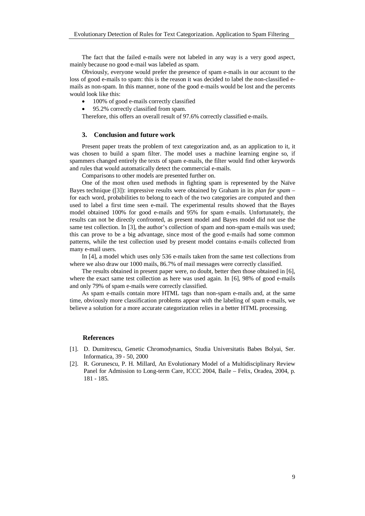The fact that the failed e-mails were not labeled in any way is a very good aspect, mainly because no good e-mail was labeled as spam.

Obviously, everyone would prefer the presence of spam e-mails in our account to the loss of good e-mails to spam: this is the reason it was decided to label the non-classified emails as non-spam. In this manner, none of the good e-mails would be lost and the percents would look like this:

- 100% of good e-mails correctly classified
- 95.2% correctly classified from spam.

Therefore, this offers an overall result of 97.6% correctly classified e-mails.

## **3. Conclusion and future work**

Present paper treats the problem of text categorization and, as an application to it, it was chosen to build a spam filter. The model uses a machine learning engine so, if spammers changed entirely the texts of spam e-mails, the filter would find other keywords and rules that would automatically detect the commercial e-mails.

Comparisons to other models are presented further on.

One of the most often used methods in fighting spam is represented by the Naïve Bayes technique ([3]): impressive results were obtained by Graham in its *plan for spam* – for each word, probabilities to belong to each of the two categories are computed and then used to label a first time seen e-mail. The experimental results showed that the Bayes model obtained 100% for good e-mails and 95% for spam e-mails. Unfortunately, the results can not be directly confronted, as present model and Bayes model did not use the same test collection. In [3], the author's collection of spam and non-spam e-mails was used; this can prove to be a big advantage, since most of the good e-mails had some common patterns, while the test collection used by present model contains e-mails collected from many e-mail users.

In [4], a model which uses only 536 e-mails taken from the same test collections from where we also draw our 1000 mails, 86.7% of mail messages were correctly classified.

The results obtained in present paper were, no doubt, better then those obtained in [6], where the exact same test collection as here was used again. In [6], 98% of good e-mails and only 79% of spam e-mails were correctly classified.

As spam e-mails contain more HTML tags than non-spam e-mails and, at the same time, obviously more classification problems appear with the labeling of spam e-mails, we believe a solution for a more accurate categorization relies in a better HTML processing.

## **References**

- [1]. D. Dumitrescu, Genetic Chromodynamics, Studia Universitatis Babes Bolyai, Ser. Informatica, 39 - 50, 2000
- [2]. R. Gorunescu, P. H. Millard, An Evolutionary Model of a Multidisciplinary Review Panel for Admission to Long-term Care, ICCC 2004, Baile – Felix, Oradea, 2004, p. 181 - 185.